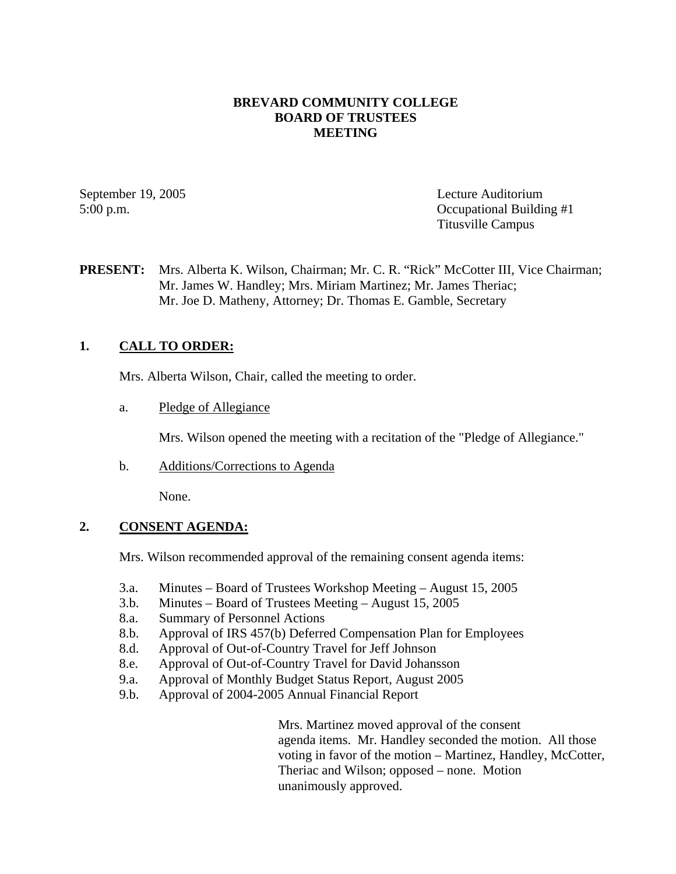### **BREVARD COMMUNITY COLLEGE BOARD OF TRUSTEES MEETING**

September 19, 2005 Lecture Auditorium 5:00 p.m. Occupational Building #1 Titusville Campus

### **PRESENT:** Mrs. Alberta K. Wilson, Chairman; Mr. C. R. "Rick" McCotter III, Vice Chairman; Mr. James W. Handley; Mrs. Miriam Martinez; Mr. James Theriac; Mr. Joe D. Matheny, Attorney; Dr. Thomas E. Gamble, Secretary

# **1. CALL TO ORDER:**

Mrs. Alberta Wilson, Chair, called the meeting to order.

a. Pledge of Allegiance

Mrs. Wilson opened the meeting with a recitation of the "Pledge of Allegiance."

b. Additions/Corrections to Agenda

None.

# **2. CONSENT AGENDA:**

Mrs. Wilson recommended approval of the remaining consent agenda items:

- 3.a. Minutes Board of Trustees Workshop Meeting August 15, 2005
- 3.b. Minutes Board of Trustees Meeting August 15, 2005
- 8.a. Summary of Personnel Actions
- 8.b. Approval of IRS 457(b) Deferred Compensation Plan for Employees
- 8.d. Approval of Out-of-Country Travel for Jeff Johnson
- 8.e. Approval of Out-of-Country Travel for David Johansson
- 9.a. Approval of Monthly Budget Status Report, August 2005
- 9.b. Approval of 2004-2005 Annual Financial Report

Mrs. Martinez moved approval of the consent agenda items. Mr. Handley seconded the motion. All those voting in favor of the motion – Martinez, Handley, McCotter, Theriac and Wilson; opposed – none. Motion unanimously approved.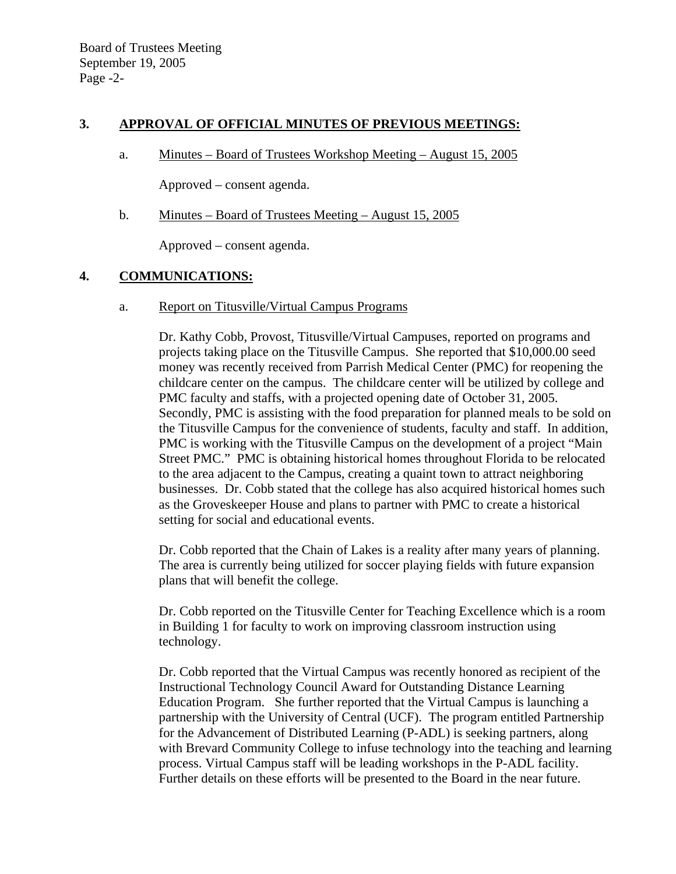### **3. APPROVAL OF OFFICIAL MINUTES OF PREVIOUS MEETINGS:**

a. Minutes – Board of Trustees Workshop Meeting – August 15, 2005

Approved – consent agenda.

b. Minutes – Board of Trustees Meeting – August 15, 2005

Approved – consent agenda.

### **4. COMMUNICATIONS:**

#### a. Report on Titusville/Virtual Campus Programs

Dr. Kathy Cobb, Provost, Titusville/Virtual Campuses, reported on programs and projects taking place on the Titusville Campus. She reported that \$10,000.00 seed money was recently received from Parrish Medical Center (PMC) for reopening the childcare center on the campus. The childcare center will be utilized by college and PMC faculty and staffs, with a projected opening date of October 31, 2005. Secondly, PMC is assisting with the food preparation for planned meals to be sold on the Titusville Campus for the convenience of students, faculty and staff. In addition, PMC is working with the Titusville Campus on the development of a project "Main Street PMC." PMC is obtaining historical homes throughout Florida to be relocated to the area adjacent to the Campus, creating a quaint town to attract neighboring businesses. Dr. Cobb stated that the college has also acquired historical homes such as the Groveskeeper House and plans to partner with PMC to create a historical setting for social and educational events.

Dr. Cobb reported that the Chain of Lakes is a reality after many years of planning. The area is currently being utilized for soccer playing fields with future expansion plans that will benefit the college.

Dr. Cobb reported on the Titusville Center for Teaching Excellence which is a room in Building 1 for faculty to work on improving classroom instruction using technology.

Dr. Cobb reported that the Virtual Campus was recently honored as recipient of the Instructional Technology Council Award for Outstanding Distance Learning Education Program. She further reported that the Virtual Campus is launching a partnership with the University of Central (UCF). The program entitled Partnership for the Advancement of Distributed Learning (P-ADL) is seeking partners, along with Brevard Community College to infuse technology into the teaching and learning process. Virtual Campus staff will be leading workshops in the P-ADL facility. Further details on these efforts will be presented to the Board in the near future.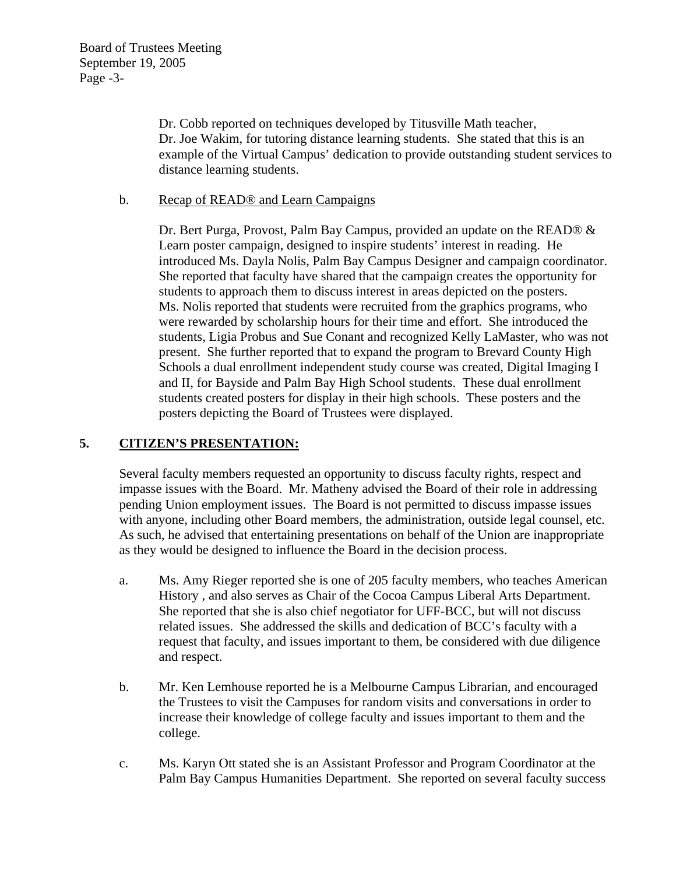Dr. Cobb reported on techniques developed by Titusville Math teacher, Dr. Joe Wakim, for tutoring distance learning students. She stated that this is an example of the Virtual Campus' dedication to provide outstanding student services to distance learning students.

### b. Recap of READ® and Learn Campaigns

Dr. Bert Purga, Provost, Palm Bay Campus, provided an update on the READ® & Learn poster campaign, designed to inspire students' interest in reading. He introduced Ms. Dayla Nolis, Palm Bay Campus Designer and campaign coordinator. She reported that faculty have shared that the campaign creates the opportunity for students to approach them to discuss interest in areas depicted on the posters. Ms. Nolis reported that students were recruited from the graphics programs, who were rewarded by scholarship hours for their time and effort. She introduced the students, Ligia Probus and Sue Conant and recognized Kelly LaMaster, who was not present. She further reported that to expand the program to Brevard County High Schools a dual enrollment independent study course was created, Digital Imaging I and II, for Bayside and Palm Bay High School students. These dual enrollment students created posters for display in their high schools. These posters and the posters depicting the Board of Trustees were displayed.

### **5. CITIZEN'S PRESENTATION:**

Several faculty members requested an opportunity to discuss faculty rights, respect and impasse issues with the Board. Mr. Matheny advised the Board of their role in addressing pending Union employment issues. The Board is not permitted to discuss impasse issues with anyone, including other Board members, the administration, outside legal counsel, etc. As such, he advised that entertaining presentations on behalf of the Union are inappropriate as they would be designed to influence the Board in the decision process.

- a. Ms. Amy Rieger reported she is one of 205 faculty members, who teaches American History , and also serves as Chair of the Cocoa Campus Liberal Arts Department. She reported that she is also chief negotiator for UFF-BCC, but will not discuss related issues. She addressed the skills and dedication of BCC's faculty with a request that faculty, and issues important to them, be considered with due diligence and respect.
- b. Mr. Ken Lemhouse reported he is a Melbourne Campus Librarian, and encouraged the Trustees to visit the Campuses for random visits and conversations in order to increase their knowledge of college faculty and issues important to them and the college.
- c. Ms. Karyn Ott stated she is an Assistant Professor and Program Coordinator at the Palm Bay Campus Humanities Department. She reported on several faculty success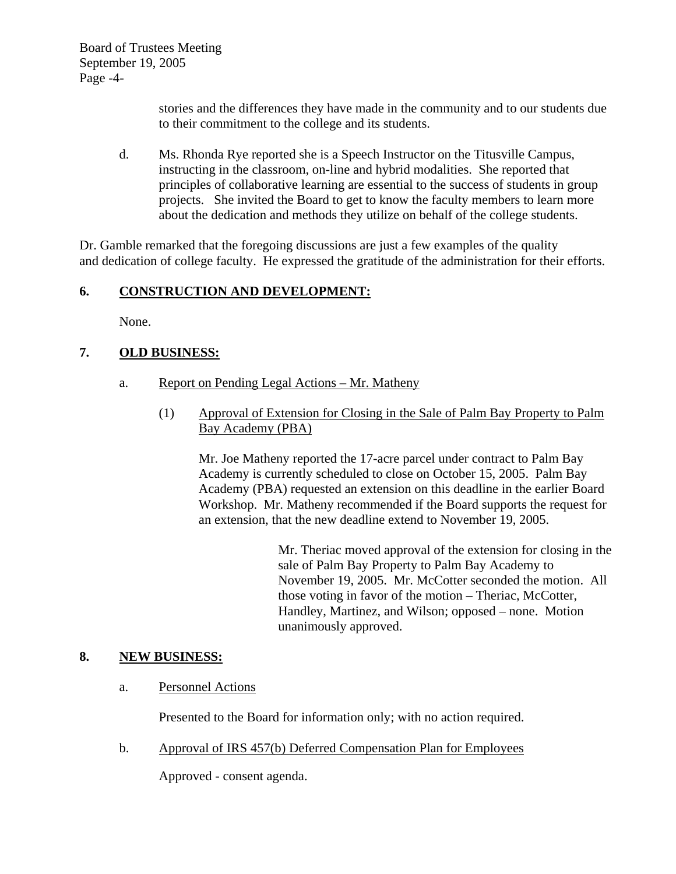Board of Trustees Meeting September 19, 2005 Page -4-

> stories and the differences they have made in the community and to our students due to their commitment to the college and its students.

d. Ms. Rhonda Rye reported she is a Speech Instructor on the Titusville Campus, instructing in the classroom, on-line and hybrid modalities. She reported that principles of collaborative learning are essential to the success of students in group projects. She invited the Board to get to know the faculty members to learn more about the dedication and methods they utilize on behalf of the college students.

Dr. Gamble remarked that the foregoing discussions are just a few examples of the quality and dedication of college faculty. He expressed the gratitude of the administration for their efforts.

# **6. CONSTRUCTION AND DEVELOPMENT:**

None.

# **7. OLD BUSINESS:**

- a. Report on Pending Legal Actions Mr. Matheny
	- (1) Approval of Extension for Closing in the Sale of Palm Bay Property to Palm Bay Academy (PBA)

Mr. Joe Matheny reported the 17-acre parcel under contract to Palm Bay Academy is currently scheduled to close on October 15, 2005. Palm Bay Academy (PBA) requested an extension on this deadline in the earlier Board Workshop. Mr. Matheny recommended if the Board supports the request for an extension, that the new deadline extend to November 19, 2005.

> Mr. Theriac moved approval of the extension for closing in the sale of Palm Bay Property to Palm Bay Academy to November 19, 2005. Mr. McCotter seconded the motion. All those voting in favor of the motion – Theriac, McCotter, Handley, Martinez, and Wilson; opposed – none. Motion unanimously approved.

### **8. NEW BUSINESS:**

a. Personnel Actions

Presented to the Board for information only; with no action required.

b. Approval of IRS 457(b) Deferred Compensation Plan for Employees

Approved - consent agenda.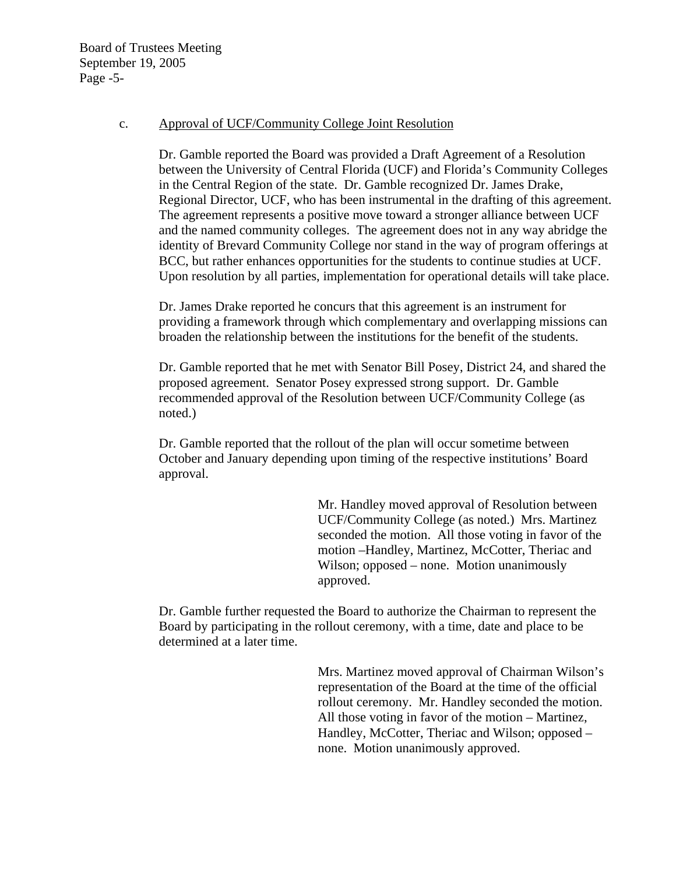Board of Trustees Meeting September 19, 2005 Page -5-

#### c. Approval of UCF/Community College Joint Resolution

Dr. Gamble reported the Board was provided a Draft Agreement of a Resolution between the University of Central Florida (UCF) and Florida's Community Colleges in the Central Region of the state. Dr. Gamble recognized Dr. James Drake, Regional Director, UCF, who has been instrumental in the drafting of this agreement. The agreement represents a positive move toward a stronger alliance between UCF and the named community colleges. The agreement does not in any way abridge the identity of Brevard Community College nor stand in the way of program offerings at BCC, but rather enhances opportunities for the students to continue studies at UCF. Upon resolution by all parties, implementation for operational details will take place.

Dr. James Drake reported he concurs that this agreement is an instrument for providing a framework through which complementary and overlapping missions can broaden the relationship between the institutions for the benefit of the students.

Dr. Gamble reported that he met with Senator Bill Posey, District 24, and shared the proposed agreement. Senator Posey expressed strong support. Dr. Gamble recommended approval of the Resolution between UCF/Community College (as noted.)

Dr. Gamble reported that the rollout of the plan will occur sometime between October and January depending upon timing of the respective institutions' Board approval.

> Mr. Handley moved approval of Resolution between UCF/Community College (as noted.) Mrs. Martinez seconded the motion. All those voting in favor of the motion –Handley, Martinez, McCotter, Theriac and Wilson; opposed – none. Motion unanimously approved.

Dr. Gamble further requested the Board to authorize the Chairman to represent the Board by participating in the rollout ceremony, with a time, date and place to be determined at a later time.

> Mrs. Martinez moved approval of Chairman Wilson's representation of the Board at the time of the official rollout ceremony. Mr. Handley seconded the motion. All those voting in favor of the motion – Martinez, Handley, McCotter, Theriac and Wilson; opposed – none. Motion unanimously approved.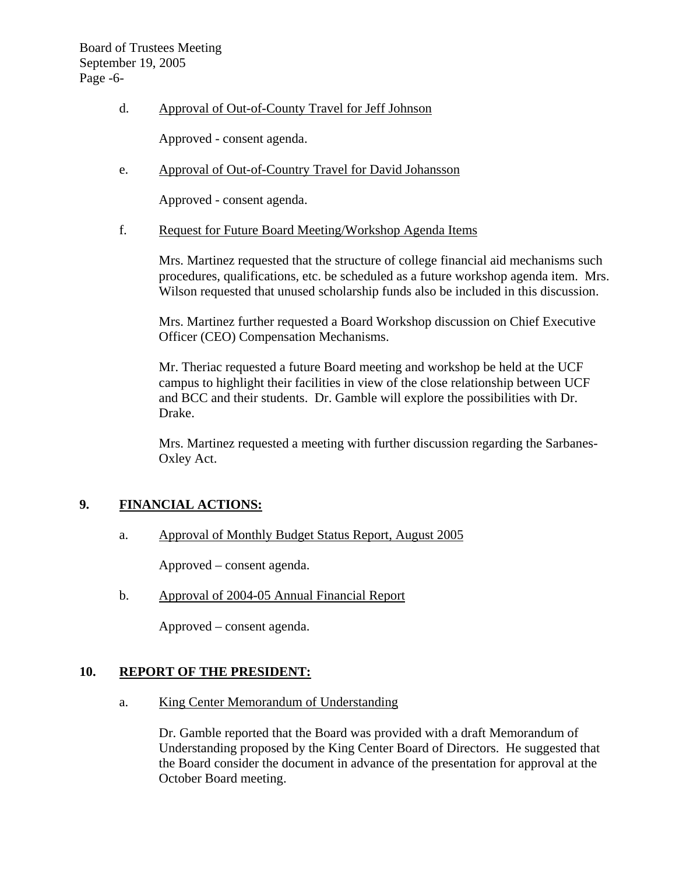### d. Approval of Out-of-County Travel for Jeff Johnson

Approved - consent agenda.

e. Approval of Out-of-Country Travel for David Johansson

Approved - consent agenda.

f. Request for Future Board Meeting/Workshop Agenda Items

Mrs. Martinez requested that the structure of college financial aid mechanisms such procedures, qualifications, etc. be scheduled as a future workshop agenda item. Mrs. Wilson requested that unused scholarship funds also be included in this discussion.

Mrs. Martinez further requested a Board Workshop discussion on Chief Executive Officer (CEO) Compensation Mechanisms.

Mr. Theriac requested a future Board meeting and workshop be held at the UCF campus to highlight their facilities in view of the close relationship between UCF and BCC and their students. Dr. Gamble will explore the possibilities with Dr. Drake.

Mrs. Martinez requested a meeting with further discussion regarding the Sarbanes-Oxley Act.

### **9. FINANCIAL ACTIONS:**

a. Approval of Monthly Budget Status Report, August 2005

Approved – consent agenda.

b. Approval of 2004-05 Annual Financial Report

Approved – consent agenda.

### **10. REPORT OF THE PRESIDENT:**

a. King Center Memorandum of Understanding

Dr. Gamble reported that the Board was provided with a draft Memorandum of Understanding proposed by the King Center Board of Directors. He suggested that the Board consider the document in advance of the presentation for approval at the October Board meeting.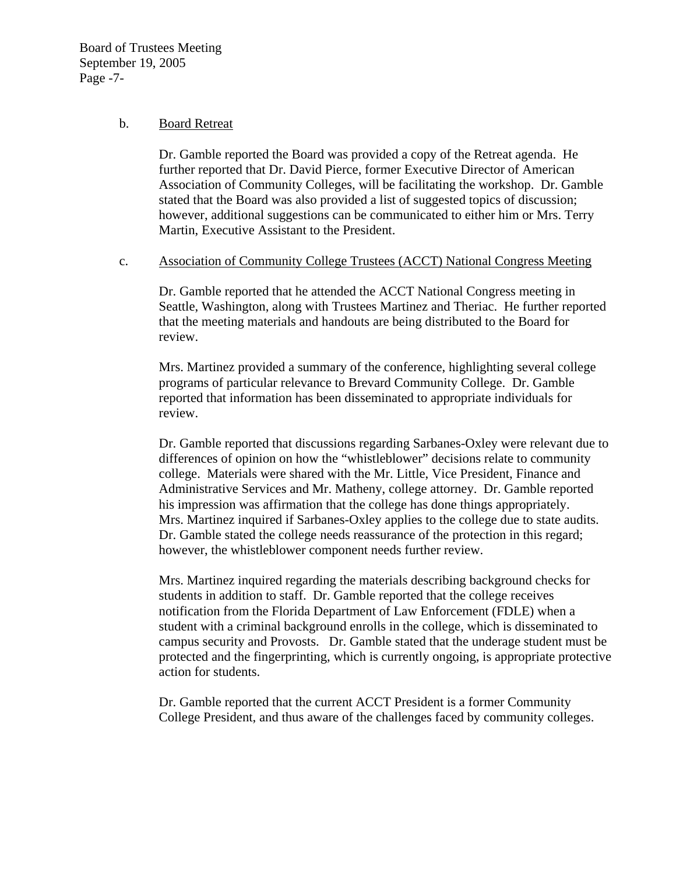Board of Trustees Meeting September 19, 2005 Page -7-

#### b. Board Retreat

Dr. Gamble reported the Board was provided a copy of the Retreat agenda. He further reported that Dr. David Pierce, former Executive Director of American Association of Community Colleges, will be facilitating the workshop. Dr. Gamble stated that the Board was also provided a list of suggested topics of discussion; however, additional suggestions can be communicated to either him or Mrs. Terry Martin, Executive Assistant to the President.

#### c. Association of Community College Trustees (ACCT) National Congress Meeting

Dr. Gamble reported that he attended the ACCT National Congress meeting in Seattle, Washington, along with Trustees Martinez and Theriac. He further reported that the meeting materials and handouts are being distributed to the Board for review.

Mrs. Martinez provided a summary of the conference, highlighting several college programs of particular relevance to Brevard Community College. Dr. Gamble reported that information has been disseminated to appropriate individuals for review.

Dr. Gamble reported that discussions regarding Sarbanes-Oxley were relevant due to differences of opinion on how the "whistleblower" decisions relate to community college. Materials were shared with the Mr. Little, Vice President, Finance and Administrative Services and Mr. Matheny, college attorney. Dr. Gamble reported his impression was affirmation that the college has done things appropriately. Mrs. Martinez inquired if Sarbanes-Oxley applies to the college due to state audits. Dr. Gamble stated the college needs reassurance of the protection in this regard; however, the whistleblower component needs further review.

Mrs. Martinez inquired regarding the materials describing background checks for students in addition to staff. Dr. Gamble reported that the college receives notification from the Florida Department of Law Enforcement (FDLE) when a student with a criminal background enrolls in the college, which is disseminated to campus security and Provosts. Dr. Gamble stated that the underage student must be protected and the fingerprinting, which is currently ongoing, is appropriate protective action for students.

Dr. Gamble reported that the current ACCT President is a former Community College President, and thus aware of the challenges faced by community colleges.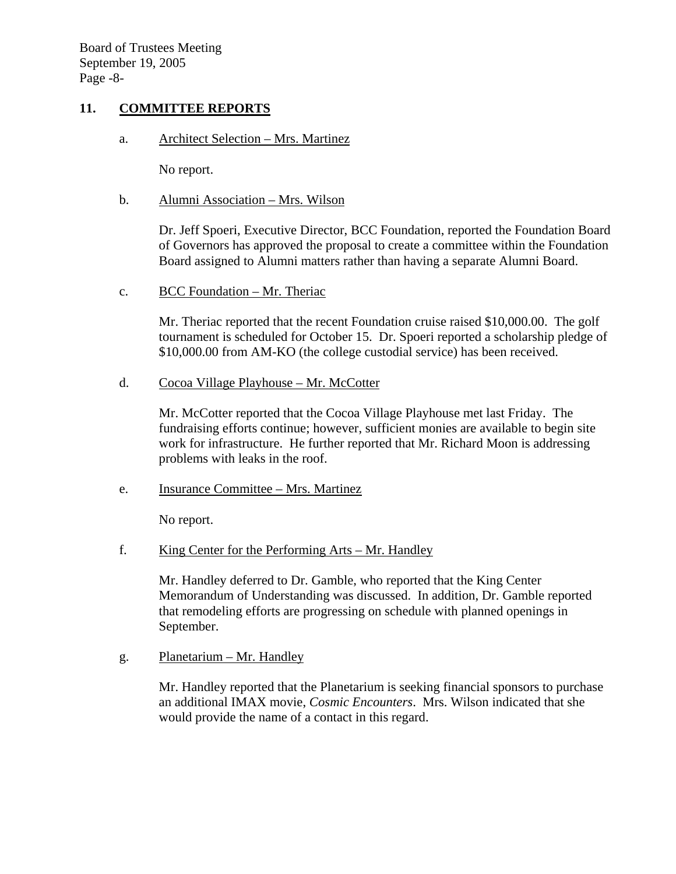### **11. COMMITTEE REPORTS**

a. Architect Selection – Mrs. Martinez

No report.

b. Alumni Association – Mrs. Wilson

Dr. Jeff Spoeri, Executive Director, BCC Foundation, reported the Foundation Board of Governors has approved the proposal to create a committee within the Foundation Board assigned to Alumni matters rather than having a separate Alumni Board.

c. BCC Foundation – Mr. Theriac

Mr. Theriac reported that the recent Foundation cruise raised \$10,000.00. The golf tournament is scheduled for October 15. Dr. Spoeri reported a scholarship pledge of \$10,000.00 from AM-KO (the college custodial service) has been received.

d. Cocoa Village Playhouse – Mr. McCotter

Mr. McCotter reported that the Cocoa Village Playhouse met last Friday. The fundraising efforts continue; however, sufficient monies are available to begin site work for infrastructure. He further reported that Mr. Richard Moon is addressing problems with leaks in the roof.

e. Insurance Committee – Mrs. Martinez

No report.

f. King Center for the Performing Arts – Mr. Handley

Mr. Handley deferred to Dr. Gamble, who reported that the King Center Memorandum of Understanding was discussed. In addition, Dr. Gamble reported that remodeling efforts are progressing on schedule with planned openings in September.

g. Planetarium – Mr. Handley

Mr. Handley reported that the Planetarium is seeking financial sponsors to purchase an additional IMAX movie, *Cosmic Encounters*. Mrs. Wilson indicated that she would provide the name of a contact in this regard.